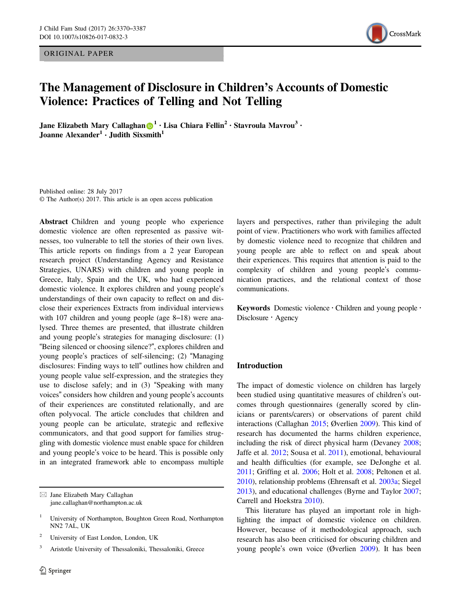ORIGINAL PAPER



# The Management of Disclosure in Children's Accounts of Domestic Violence: Practices of Telling and Not Telling

Ja[n](http://orcid.org/0000-0002-5241-3398)e Elizabeth Mary Callaghan  $\bigcirc$ <sup>[1](http://orcid.org/0000-0002-5241-3398)</sup> • Lisa Chiara Fellin<sup>2</sup> • Stavroula Mavrou<sup>3</sup> • Joanne Alexander<sup>1</sup> • Judith Sixsmith<sup>1</sup>

Published online: 28 July 2017 © The Author(s) 2017. This article is an open access publication

Abstract Children and young people who experience domestic violence are often represented as passive witnesses, too vulnerable to tell the stories of their own lives. This article reports on findings from a 2 year European research project (Understanding Agency and Resistance Strategies, UNARS) with children and young people in Greece, Italy, Spain and the UK, who had experienced domestic violence. It explores children and young people's understandings of their own capacity to reflect on and disclose their experiences Extracts from individual interviews with 107 children and young people (age 8–18) were analysed. Three themes are presented, that illustrate children and young people's strategies for managing disclosure: (1) "Being silenced or choosing silence?", explores children and young people's practices of self-silencing; (2) "Managing disclosures: Finding ways to tell" outlines how children and young people value self-expression, and the strategies they use to disclose safely; and in (3) "Speaking with many voices" considers how children and young people's accounts of their experiences are constituted relationally, and are often polyvocal. The article concludes that children and young people can be articulate, strategic and reflexive communicators, and that good support for families struggling with domestic violence must enable space for children and young people's voice to be heard. This is possible only in an integrated framework able to encompass multiple

 $\boxtimes$  Jane Elizabeth Mary Callaghan [jane.callaghan@northampton.ac.uk](mailto:jane.callaghan@northampton.ac.uk)

<sup>2</sup> University of East London, London, UK

<sup>3</sup> Aristotle University of Thessaloniki, Thessaloniki, Greece

layers and perspectives, rather than privileging the adult point of view. Practitioners who work with families affected by domestic violence need to recognize that children and young people are able to reflect on and speak about their experiences. This requires that attention is paid to the complexity of children and young people's communication practices, and the relational context of those communications.

Keywords Domestic violence · Children and young people · Disclosure  $\cdot$  Agency

## Introduction

The impact of domestic violence on children has largely been studied using quantitative measures of children's outcomes through questionnaires (generally scored by clinicians or parents/carers) or observations of parent child interactions (Callaghan [2015;](#page-15-0) Øverlien [2009](#page-16-0)). This kind of research has documented the harms children experience, including the risk of direct physical harm (Devaney [2008;](#page-15-0) Jaffe et al. [2012](#page-16-0); Sousa et al. [2011](#page-16-0)), emotional, behavioural and health difficulties (for example, see DeJonghe et al. [2011](#page-15-0); Griffing et al. [2006](#page-16-0); Holt et al. [2008](#page-16-0); Peltonen et al. [2010](#page-16-0)), relationship problems (Ehrensaft et al. [2003a](#page-15-0); Siegel [2013](#page-16-0)), and educational challenges (Byrne and Taylor [2007;](#page-15-0) Carrell and Hoekstra [2010](#page-15-0)).

This literature has played an important role in highlighting the impact of domestic violence on children. However, because of it methodological approach, such research has also been criticised for obscuring children and young people's own voice (Øverlien [2009](#page-16-0)). It has been

<sup>&</sup>lt;sup>1</sup> University of Northampton, Boughton Green Road, Northampton NN2 7AL, UK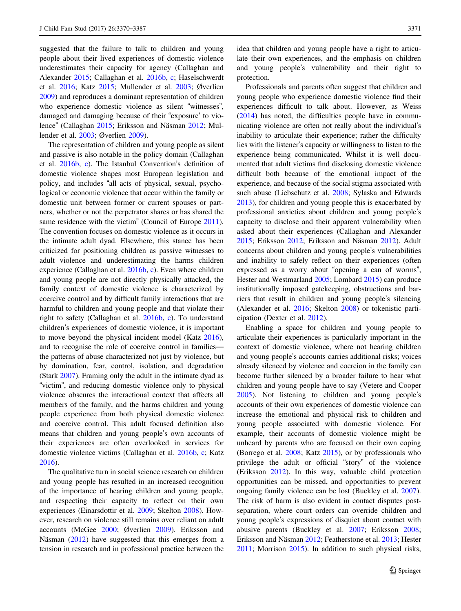suggested that the failure to talk to children and young people about their lived experiences of domestic violence underestimates their capacity for agency (Callaghan and Alexander [2015;](#page-15-0) Callaghan et al. [2016b](#page-15-0), [c;](#page-15-0) Haselschwerdt et al. [2016](#page-16-0); Katz [2015;](#page-16-0) Mullender et al. [2003](#page-16-0); Øverlien [2009\)](#page-16-0) and reproduces a dominant representation of children who experience domestic violence as silent "witnesses", damaged and damaging because of their "exposure' to violence" (Callaghan [2015](#page-15-0); Eriksson and Näsman [2012](#page-15-0); Mullender et al. [2003](#page-16-0); Øverlien [2009](#page-16-0)).

The representation of children and young people as silent and passive is also notable in the policy domain (Callaghan et al. [2016b](#page-15-0), [c\)](#page-15-0). The Istanbul Convention's definition of domestic violence shapes most European legislation and policy, and includes "all acts of physical, sexual, psychological or economic violence that occur within the family or domestic unit between former or current spouses or partners, whether or not the perpetrator shares or has shared the same residence with the victim" (Council of Europe [2011](#page-15-0)). The convention focuses on domestic violence as it occurs in the intimate adult dyad. Elsewhere, this stance has been criticized for positioning children as passive witnesses to adult violence and underestimating the harms children experience (Callaghan et al. [2016b](#page-15-0), [c\)](#page-15-0). Even where children and young people are not directly physically attacked, the family context of domestic violence is characterized by coercive control and by difficult family interactions that are harmful to children and young people and that violate their right to safety (Callaghan et al. [2016b,](#page-15-0) [c\)](#page-15-0). To understand children's experiences of domestic violence, it is important to move beyond the physical incident model (Katz [2016](#page-16-0)), and to recognise the role of coercive control in families the patterns of abuse characterized not just by violence, but by domination, fear, control, isolation, and degradation (Stark [2007\)](#page-16-0). Framing only the adult in the intimate dyad as "victim", and reducing domestic violence only to physical violence obscures the interactional context that affects all members of the family, and the harms children and young people experience from both physical domestic violence and coercive control. This adult focused definition also means that children and young people's own accounts of their experiences are often overlooked in services for domestic violence victims (Callaghan et al. [2016b](#page-15-0), [c](#page-15-0); Katz [2016\)](#page-16-0).

The qualitative turn in social science research on children and young people has resulted in an increased recognition of the importance of hearing children and young people, and respecting their capacity to reflect on their own experiences (Einarsdottir et al. [2009;](#page-15-0) Skelton [2008](#page-16-0)). However, research on violence still remains over reliant on adult accounts (McGee [2000](#page-16-0); Øverlien [2009](#page-16-0)). Eriksson and Näsman [\(2012](#page-15-0)) have suggested that this emerges from a tension in research and in professional practice between the idea that children and young people have a right to articulate their own experiences, and the emphasis on children and young people's vulnerability and their right to protection.

Professionals and parents often suggest that children and young people who experience domestic violence find their experiences difficult to talk about. However, as Weiss [\(2014](#page-17-0)) has noted, the difficulties people have in communicating violence are often not really about the individual's inability to articulate their experience; rather the difficulty lies with the listener's capacity or willingness to listen to the experience being communicated. Whilst it is well documented that adult victims find disclosing domestic violence difficult both because of the emotional impact of the experience, and because of the social stigma associated with such abuse (Liebschutz et al. [2008;](#page-16-0) Sylaska and Edwards [2013](#page-17-0)), for children and young people this is exacerbated by professional anxieties about children and young people's capacity to disclose and their apparent vulnerability when asked about their experiences (Callaghan and Alexander [2015](#page-15-0); Eriksson [2012;](#page-15-0) Eriksson and Näsman [2012\)](#page-15-0). Adult concerns about children and young people's vulnerabilities and inability to safely reflect on their experiences (often expressed as a worry about "opening a can of worms", Hester and Westmarland [2005](#page-16-0); Lombard [2015](#page-16-0)) can produce institutionally imposed gatekeeping, obstructions and barriers that result in children and young people's silencing (Alexander et al. [2016;](#page-15-0) Skelton [2008\)](#page-16-0) or tokenistic participation (Dexter et al. [2012\)](#page-15-0).

Enabling a space for children and young people to articulate their experiences is particularly important in the context of domestic violence, where not hearing children and young people's accounts carries additional risks; voices already silenced by violence and coercion in the family can become further silenced by a broader failure to hear what children and young people have to say (Vetere and Cooper [2005](#page-17-0)). Not listening to children and young people's accounts of their own experiences of domestic violence can increase the emotional and physical risk to children and young people associated with domestic violence. For example, their accounts of domestic violence might be unheard by parents who are focused on their own coping (Borrego et al. [2008;](#page-15-0) Katz [2015](#page-16-0)), or by professionals who privilege the adult or official "story" of the violence (Eriksson [2012\)](#page-15-0). In this way, valuable child protection opportunities can be missed, and opportunities to prevent ongoing family violence can be lost (Buckley et al. [2007\)](#page-15-0). The risk of harm is also evident in contact disputes postseparation, where court orders can override children and young people's expressions of disquiet about contact with abusive parents (Buckley et al. [2007;](#page-15-0) Eriksson [2008;](#page-15-0) Eriksson and Näsman [2012](#page-15-0); Featherstone et al. [2013;](#page-15-0) Hester [2011](#page-16-0); Morrison [2015\)](#page-16-0). In addition to such physical risks,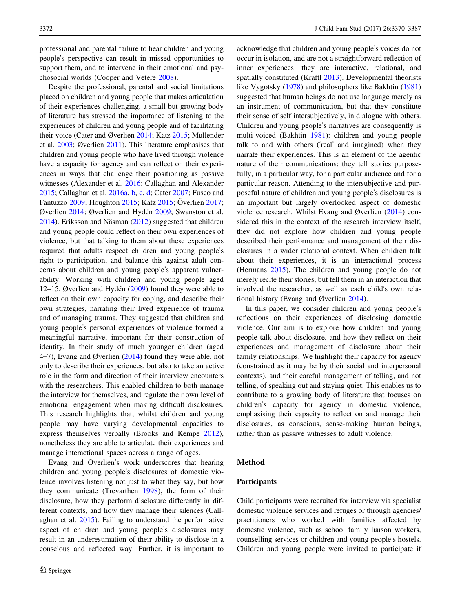professional and parental failure to hear children and young people's perspective can result in missed opportunities to support them, and to intervene in their emotional and psychosocial worlds (Cooper and Vetere [2008\)](#page-15-0).

Despite the professional, parental and social limitations placed on children and young people that makes articulation of their experiences challenging, a small but growing body of literature has stressed the importance of listening to the experiences of children and young people and of facilitating their voice (Cater and Øverlien [2014](#page-15-0); Katz [2015;](#page-16-0) Mullender et al. [2003](#page-16-0); Øverlien [2011\)](#page-16-0). This literature emphasises that children and young people who have lived through violence have a capacity for agency and can reflect on their experiences in ways that challenge their positioning as passive witnesses (Alexander et al. [2016;](#page-15-0) Callaghan and Alexander [2015;](#page-15-0) Callaghan et al. [2016a,](#page-15-0) [b,](#page-15-0) [c](#page-15-0), [d](#page-15-0); Cater [2007](#page-15-0); Fusco and Fantuzzo [2009;](#page-16-0) Houghton [2015;](#page-16-0) Katz [2015](#page-16-0); Överlien [2017](#page-16-0); Øverlien [2014;](#page-16-0) Øverlien and Hydén [2009;](#page-16-0) Swanston et al. [2014\)](#page-16-0). Eriksson and Näsman ([2012\)](#page-15-0) suggested that children and young people could reflect on their own experiences of violence, but that talking to them about these experiences required that adults respect children and young people's right to participation, and balance this against adult concerns about children and young people's apparent vulnerability. Working with children and young people aged 12–15, Øverlien and Hydén [\(2009](#page-16-0)) found they were able to reflect on their own capacity for coping, and describe their own strategies, narrating their lived experience of trauma and of managing trauma. They suggested that children and young people's personal experiences of violence formed a meaningful narrative, important for their construction of identity. In their study of much younger children (aged 4–7), Evang and Øverlien  $(2014)$  $(2014)$  found they were able, not only to describe their experiences, but also to take an active role in the form and direction of their interview encounters with the researchers. This enabled children to both manage the interview for themselves, and regulate their own level of emotional engagement when making difficult disclosures. This research highlights that, whilst children and young people may have varying developmental capacities to express themselves verbally (Brooks and Kempe [2012](#page-15-0)), nonetheless they are able to articulate their experiences and manage interactional spaces across a range of ages.

Evang and Overlien's work underscores that hearing children and young people's disclosures of domestic violence involves listening not just to what they say, but how they communicate (Trevarthen [1998](#page-17-0)), the form of their disclosure, how they perform disclosure differently in different contexts, and how they manage their silences (Callaghan et al. [2015\)](#page-15-0). Failing to understand the performative aspect of children and young people's disclosures may result in an underestimation of their ability to disclose in a conscious and reflected way. Further, it is important to

acknowledge that children and young people's voices do not occur in isolation, and are not a straightforward reflection of inner experiences—they are interactive, relational, and spatially constituted (Kraftl [2013\)](#page-16-0). Developmental theorists like Vygotsky ([1978\)](#page-17-0) and philosophers like Bakhtin [\(1981](#page-15-0)) suggested that human beings do not use language merely as an instrument of communication, but that they constitute their sense of self intersubjectively, in dialogue with others. Children and young people's narratives are consequently is multi-voiced (Bakhtin [1981\)](#page-15-0): children and young people talk to and with others ('real' and imagined) when they narrate their experiences. This is an element of the agentic nature of their communications: they tell stories purposefully, in a particular way, for a particular audience and for a particular reason. Attending to the intersubjective and purposeful nature of children and young people's disclosures is an important but largely overlooked aspect of domestic violence research. Whilst Evang and Øverlien ([2014\)](#page-15-0) considered this in the context of the research interview itself, they did not explore how children and young people described their performance and management of their disclosures in a wider relational context. When children talk about their experiences, it is an interactional process (Hermans [2015\)](#page-16-0). The children and young people do not merely recite their stories, but tell them in an interaction that involved the researcher, as well as each child's own relational history (Evang and Øverlien [2014](#page-15-0)).

In this paper, we consider children and young people's reflections on their experiences of disclosing domestic violence. Our aim is to explore how children and young people talk about disclosure, and how they reflect on their experiences and management of disclosure about their family relationships. We highlight their capacity for agency (constrained as it may be by their social and interpersonal contexts), and their careful management of telling, and not telling, of speaking out and staying quiet. This enables us to contribute to a growing body of literature that focuses on children's capacity for agency in domestic violence, emphasising their capacity to reflect on and manage their disclosures, as conscious, sense-making human beings, rather than as passive witnesses to adult violence.

#### Method

#### Participants

Child participants were recruited for interview via specialist domestic violence services and refuges or through agencies/ practitioners who worked with families affected by domestic violence, such as school family liaison workers, counselling services or children and young people's hostels. Children and young people were invited to participate if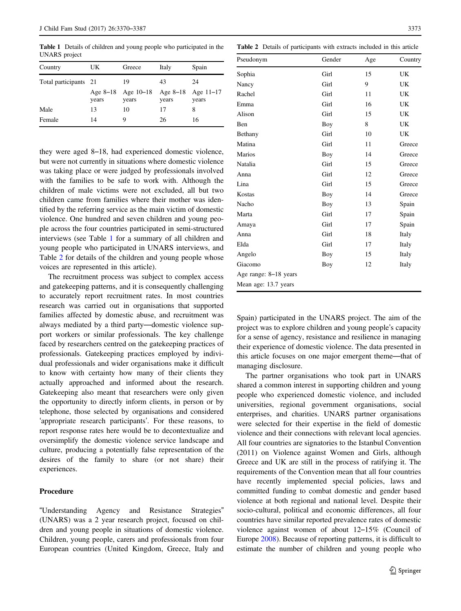Table 1 Details of children and young people who participated in the UNARS project

| Country               | UK    | Greece                      | Italy | Spain                           |
|-----------------------|-------|-----------------------------|-------|---------------------------------|
| Total participants 21 |       | 19                          | 43    | 24                              |
|                       | years | Age 8-18 Age 10-18<br>years | years | Age $8-18$ Age $11-17$<br>years |
| Male                  | 13    | 10                          | 17    | 8                               |
| Female                | 14    | 9                           | 26    | 16                              |

they were aged 8–18, had experienced domestic violence, but were not currently in situations where domestic violence was taking place or were judged by professionals involved with the families to be safe to work with. Although the children of male victims were not excluded, all but two children came from families where their mother was identified by the referring service as the main victim of domestic violence. One hundred and seven children and young people across the four countries participated in semi-structured interviews (see Table 1 for a summary of all children and young people who participated in UNARS interviews, and Table 2 for details of the children and young people whose voices are represented in this article).

The recruitment process was subject to complex access and gatekeeping patterns, and it is consequently challenging to accurately report recruitment rates. In most countries research was carried out in organisations that supported families affected by domestic abuse, and recruitment was always mediated by a third party—domestic violence support workers or similar professionals. The key challenge faced by researchers centred on the gatekeeping practices of professionals. Gatekeeping practices employed by individual professionals and wider organisations make it difficult to know with certainty how many of their clients they actually approached and informed about the research. Gatekeeping also meant that researchers were only given the opportunity to directly inform clients, in person or by telephone, those selected by organisations and considered 'appropriate research participants'. For these reasons, to report response rates here would be to decontextualize and oversimplify the domestic violence service landscape and culture, producing a potentially false representation of the desires of the family to share (or not share) their experiences.

#### Procedure

"Understanding Agency and Resistance Strategies" (UNARS) was a 2 year research project, focused on children and young people in situations of domestic violence. Children, young people, carers and professionals from four European countries (United Kingdom, Greece, Italy and

| <b>Table 2</b> Details of participants with extracts included in this article |        |     |         |  |  |
|-------------------------------------------------------------------------------|--------|-----|---------|--|--|
| Pseudonym                                                                     | Gender | Age | Country |  |  |
| Sophia                                                                        | Girl   | 15  | UK      |  |  |
| Nancy                                                                         | Girl   | 9   | UK      |  |  |
| Rachel                                                                        | Girl   | 11  | UK      |  |  |
| Emma                                                                          | Girl   | 16  | UK      |  |  |
| Alison                                                                        | Girl   | 15  | UK      |  |  |
| Ben                                                                           | Boy    | 8   | UK      |  |  |
| Bethany                                                                       | Girl   | 10  | UK      |  |  |
| Matina                                                                        | Girl   | 11  | Greece  |  |  |
| Marios                                                                        | Boy    | 14  | Greece  |  |  |
| Natalia                                                                       | Girl   | 15  | Greece  |  |  |
| Anna                                                                          | Girl   | 12  | Greece  |  |  |
| Lina                                                                          | Girl   | 15  | Greece  |  |  |
| Kostas                                                                        | Boy    | 14  | Greece  |  |  |
| Nacho                                                                         | Boy    | 13  | Spain   |  |  |
| Marta                                                                         | Girl   | 17  | Spain   |  |  |
| Amaya                                                                         | Girl   | 17  | Spain   |  |  |
| Anna                                                                          | Girl   | 18  | Italy   |  |  |
| Elda                                                                          | Girl   | 17  | Italy   |  |  |
| Angelo                                                                        | Boy    | 15  | Italy   |  |  |
| Giacomo                                                                       | Boy    | 12  | Italy   |  |  |
| Age range: 8-18 years                                                         |        |     |         |  |  |

Mean age: 13.7 years

Spain) participated in the UNARS project. The aim of the project was to explore children and young people's capacity for a sense of agency, resistance and resilience in managing their experience of domestic violence. The data presented in this article focuses on one major emergent theme—that of managing disclosure.

The partner organisations who took part in UNARS shared a common interest in supporting children and young people who experienced domestic violence, and included universities, regional government organisations, social enterprises, and charities. UNARS partner organisations were selected for their expertise in the field of domestic violence and their connections with relevant local agencies. All four countries are signatories to the Istanbul Convention (2011) on Violence against Women and Girls, although Greece and UK are still in the process of ratifying it. The requirements of the Convention mean that all four countries have recently implemented special policies, laws and committed funding to combat domestic and gender based violence at both regional and national level. Despite their socio-cultural, political and economic differences, all four countries have similar reported prevalence rates of domestic violence against women of about 12–15% (Council of Europe [2008](#page-15-0)). Because of reporting patterns, it is difficult to estimate the number of children and young people who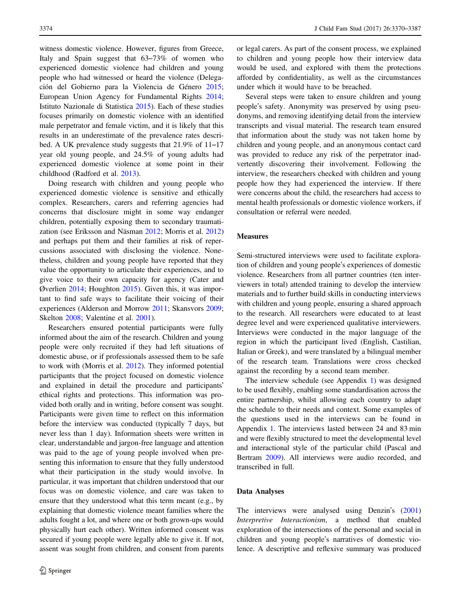witness domestic violence. However, figures from Greece, Italy and Spain suggest that 63–73% of women who experienced domestic violence had children and young people who had witnessed or heard the violence (Delegación del Gobierno para la Violencia de Género [2015](#page-15-0); European Union Agency for Fundamental Rights [2014](#page-15-0); Istituto Nazionale di Statistica [2015](#page-16-0)). Each of these studies focuses primarily on domestic violence with an identified male perpetrator and female victim, and it is likely that this results in an underestimate of the prevalence rates described. A UK prevalence study suggests that 21.9% of 11–17 year old young people, and 24.5% of young adults had experienced domestic violence at some point in their childhood (Radford et al. [2013](#page-16-0)).

Doing research with children and young people who experienced domestic violence is sensitive and ethically complex. Researchers, carers and referring agencies had concerns that disclosure might in some way endanger children, potentially exposing them to secondary traumatization (see Eriksson and Näsman [2012;](#page-15-0) Morris et al. [2012\)](#page-16-0) and perhaps put them and their families at risk of repercussions associated with disclosing the violence. Nonetheless, children and young people have reported that they value the opportunity to articulate their experiences, and to give voice to their own capacity for agency (Cater and Øverlien [2014;](#page-15-0) Houghton [2015](#page-16-0)). Given this, it was important to find safe ways to facilitate their voicing of their experiences (Alderson and Morrow [2011;](#page-15-0) Skansvors [2009](#page-16-0); Skelton [2008;](#page-16-0) Valentine et al. [2001\)](#page-17-0).

Researchers ensured potential participants were fully informed about the aim of the research. Children and young people were only recruited if they had left situations of domestic abuse, or if professionals assessed them to be safe to work with (Morris et al. [2012\)](#page-16-0). They informed potential participants that the project focused on domestic violence and explained in detail the procedure and participants' ethical rights and protections. This information was provided both orally and in writing, before consent was sought. Participants were given time to reflect on this information before the interview was conducted (typically 7 days, but never less than 1 day). Information sheets were written in clear, understandable and jargon-free language and attention was paid to the age of young people involved when presenting this information to ensure that they fully understood what their participation in the study would involve. In particular, it was important that children understood that our focus was on domestic violence, and care was taken to ensure that they understood what this term meant (e.g., by explaining that domestic violence meant families where the adults fought a lot, and where one or both grown-ups would physically hurt each other). Written informed consent was secured if young people were legally able to give it. If not, assent was sought from children, and consent from parents

or legal carers. As part of the consent process, we explained to children and young people how their interview data would be used, and explored with them the protections afforded by confidentiality, as well as the circumstances under which it would have to be breached.

Several steps were taken to ensure children and young people's safety. Anonymity was preserved by using pseudonyms, and removing identifying detail from the interview transcripts and visual material. The research team ensured that information about the study was not taken home by children and young people, and an anonymous contact card was provided to reduce any risk of the perpetrator inadvertently discovering their involvement. Following the interview, the researchers checked with children and young people how they had experienced the interview. If there were concerns about the child, the researchers had access to mental health professionals or domestic violence workers, if consultation or referral were needed.

## Measures

Semi-structured interviews were used to facilitate exploration of children and young people's experiences of domestic violence. Researchers from all partner countries (ten interviewers in total) attended training to develop the interview materials and to further build skills in conducting interviews with children and young people, ensuring a shared approach to the research. All researchers were educated to at least degree level and were experienced qualitative interviewers. Interviews were conducted in the major language of the region in which the participant lived (English, Castilian, Italian or Greek), and were translated by a bilingual member of the research team. Translations were cross checked against the recording by a second team member.

The interview schedule (see Appendix [1](#page-14-0)) was designed to be used flexibly, enabling some standardisation across the entire partnership, whilst allowing each country to adapt the schedule to their needs and context. Some examples of the questions used in the interviews can be found in Appendix [1.](#page-14-0) The interviews lasted between 24 and 83 min and were flexibly structured to meet the developmental level and interactional style of the particular child (Pascal and Bertram [2009](#page-16-0)). All interviews were audio recorded, and transcribed in full.

#### Data Analyses

The interviews were analysed using Denzin's [\(2001](#page-15-0)) Interpretive Interactionism, a method that enabled exploration of the intersections of the personal and social in children and young people's narratives of domestic violence. A descriptive and reflexive summary was produced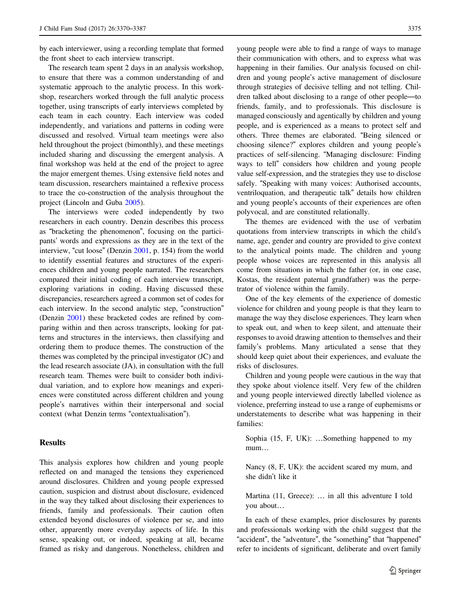by each interviewer, using a recording template that formed the front sheet to each interview transcript.

The research team spent 2 days in an analysis workshop, to ensure that there was a common understanding of and systematic approach to the analytic process. In this workshop, researchers worked through the full analytic process together, using transcripts of early interviews completed by each team in each country. Each interview was coded independently, and variations and patterns in coding were discussed and resolved. Virtual team meetings were also held throughout the project (bimonthly), and these meetings included sharing and discussing the emergent analysis. A final workshop was held at the end of the project to agree the major emergent themes. Using extensive field notes and team discussion, researchers maintained a reflexive process to trace the co-construction of the analysis throughout the project (Lincoln and Guba [2005](#page-16-0)).

The interviews were coded independently by two researchers in each country. Denzin describes this process as "bracketing the phenomenon", focusing on the participants' words and expressions as they are in the text of the interview, "cut loose" (Denzin [2001,](#page-15-0) p. 154) from the world to identify essential features and structures of the experiences children and young people narrated. The researchers compared their initial coding of each interview transcript, exploring variations in coding. Having discussed these discrepancies, researchers agreed a common set of codes for each interview. In the second analytic step, "construction" (Denzin [2001\)](#page-15-0) these bracketed codes are refined by comparing within and then across transcripts, looking for patterns and structures in the interviews, then classifying and ordering them to produce themes. The construction of the themes was completed by the principal investigator (JC) and the lead research associate (JA), in consultation with the full research team. Themes were built to consider both individual variation, and to explore how meanings and experiences were constituted across different children and young people's narratives within their interpersonal and social context (what Denzin terms "contextualisation").

# Results

This analysis explores how children and young people reflected on and managed the tensions they experienced around disclosures. Children and young people expressed caution, suspicion and distrust about disclosure, evidenced in the way they talked about disclosing their experiences to friends, family and professionals. Their caution often extended beyond disclosures of violence per se, and into other, apparently more everyday aspects of life. In this sense, speaking out, or indeed, speaking at all, became framed as risky and dangerous. Nonetheless, children and young people were able to find a range of ways to manage their communication with others, and to express what was happening in their families. Our analysis focused on children and young people's active management of disclosure through strategies of decisive telling and not telling. Children talked about disclosing to a range of other people—to friends, family, and to professionals. This disclosure is managed consciously and agentically by children and young people, and is experienced as a means to protect self and others. Three themes are elaborated. "Being silenced or choosing silence?" explores children and young people's practices of self-silencing. "Managing disclosure: Finding ways to tell" considers how children and young people value self-expression, and the strategies they use to disclose safely. "Speaking with many voices: Authorised accounts, ventriloquation, and therapeutic talk" details how children and young people's accounts of their experiences are often polyvocal, and are constituted relationally.

The themes are evidenced with the use of verbatim quotations from interview transcripts in which the child's name, age, gender and country are provided to give context to the analytical points made. The children and young people whose voices are represented in this analysis all come from situations in which the father (or, in one case, Kostas, the resident paternal grandfather) was the perpetrator of violence within the family.

One of the key elements of the experience of domestic violence for children and young people is that they learn to manage the way they disclose experiences. They learn when to speak out, and when to keep silent, and attenuate their responses to avoid drawing attention to themselves and their family's problems. Many articulated a sense that they should keep quiet about their experiences, and evaluate the risks of disclosures.

Children and young people were cautious in the way that they spoke about violence itself. Very few of the children and young people interviewed directly labelled violence as violence, preferring instead to use a range of euphemisms or understatements to describe what was happening in their families:

Sophia (15, F, UK): …Something happened to my mum…

Nancy (8, F, UK): the accident scared my mum, and she didn't like it

Martina (11, Greece): … in all this adventure I told you about…

In each of these examples, prior disclosures by parents and professionals working with the child suggest that the "accident", the "adventure", the "something" that "happened" refer to incidents of significant, deliberate and overt family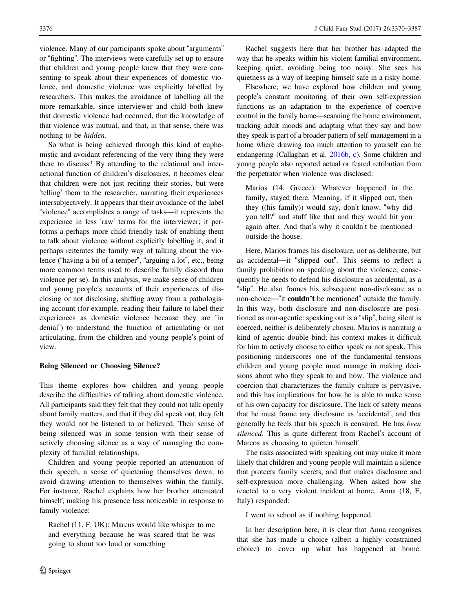violence. Many of our participants spoke about "arguments" or "fighting". The interviews were carefully set up to ensure that children and young people knew that they were consenting to speak about their experiences of domestic violence, and domestic violence was explicitly labelled by researchers. This makes the avoidance of labelling all the more remarkable, since interviewer and child both knew that domestic violence had occurred, that the knowledge of that violence was mutual, and that, in that sense, there was nothing to be hidden.

So what is being achieved through this kind of euphemistic and avoidant referencing of the very thing they were there to discuss? By attending to the relational and interactional function of children's disclosures, it becomes clear that children were not just reciting their stories, but were 'telling' them to the researcher, narrating their experiences intersubjectively. It appears that their avoidance of the label "violence" accomplishes a range of tasks—it represents the experience in less 'raw' terms for the interviewer; it performs a perhaps more child friendly task of enabling them to talk about violence without explicitly labelling it; and it perhaps reiterates the family way of talking about the violence ("having a bit of a temper", "arguing a lot", etc., being more common terms used to describe family discord than violence per se). In this analysis, we make sense of children and young people's accounts of their experiences of disclosing or not disclosing, shifting away from a pathologising account (for example, reading their failure to label their experiences as domestic violence because they are "in denial") to understand the function of articulating or not articulating, from the children and young people's point of view.

## Being Silenced or Choosing Silence?

This theme explores how children and young people describe the difficulties of talking about domestic violence. All participants said they felt that they could not talk openly about family matters, and that if they did speak out, they felt they would not be listened to or believed. Their sense of being silenced was in some tension with their sense of actively choosing silence as a way of managing the complexity of familial relationships.

Children and young people reported an attenuation of their speech, a sense of quietening themselves down, to avoid drawing attention to themselves within the family. For instance, Rachel explains how her brother attenuated himself, making his presence less noticeable in response to family violence:

Rachel (11, F, UK): Marcus would like whisper to me and everything because he was scared that he was going to shout too loud or something

Rachel suggests here that her brother has adapted the way that he speaks within his violent familial environment, keeping quiet, avoiding being too noisy. She sees his quietness as a way of keeping himself safe in a risky home.

Elsewhere, we have explored how children and young people's constant monitoring of their own self-expression functions as an adaptation to the experience of coercive control in the family home—scanning the home environment, tracking adult moods and adapting what they say and how they speak is part of a broader pattern of self-management in a home where drawing too much attention to yourself can be endangering (Callaghan et al. [2016b](#page-15-0), [c\)](#page-15-0). Some children and young people also reported actual or feared retribution from the perpetrator when violence was disclosed:

Marios (14, Greece): Whatever happened in the family, stayed there. Meaning, if it slipped out, then they ((his family)) would say, don't know, "why did you tell?" and stuff like that and they would hit you again after. And that's why it couldn't be mentioned outside the house.

Here, Marios frames his disclosure, not as deliberate, but as accidental—it "slipped out". This seems to reflect a family prohibition on speaking about the violence; consequently he needs to defend his disclosure as accidental, as a "slip". He also frames his subsequent non-disclosure as a non-choice—"it couldn't be mentioned" outside the family. In this way, both disclosure and non-disclosure are positioned as non-agentic: speaking out is a "slip", being silent is coerced, neither is deliberately chosen. Marios is narrating a kind of agentic double bind; his context makes it difficult for him to actively choose to either speak or not speak. This positioning underscores one of the fundamental tensions children and young people must manage in making decisions about who they speak to and how. The violence and coercion that characterizes the family culture is pervasive, and this has implications for how he is able to make sense of his own capacity for disclosure. The lack of safety means that he must frame any disclosure as 'accidental', and that generally he feels that his speech is censured. He has been silenced. This is quite different from Rachel's account of Marcos as choosing to quieten himself.

The risks associated with speaking out may make it more likely that children and young people will maintain a silence that protects family secrets, and that makes disclosure and self-expression more challenging. When asked how she reacted to a very violent incident at home, Anna (18, F, Italy) responded:

I went to school as if nothing happened.

In her description here, it is clear that Anna recognises that she has made a choice (albeit a highly constrained choice) to cover up what has happened at home.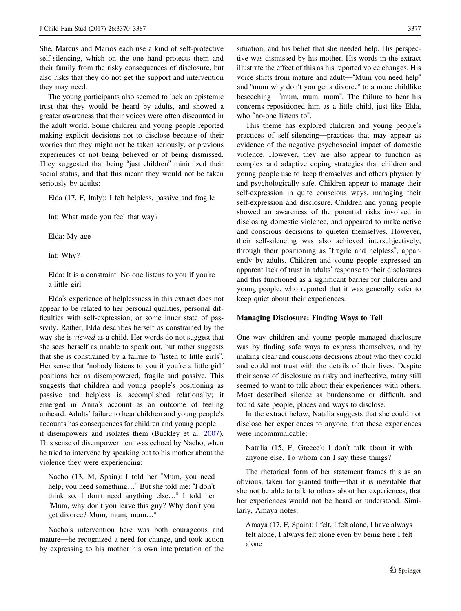She, Marcus and Marios each use a kind of self-protective self-silencing, which on the one hand protects them and their family from the risky consequences of disclosure, but also risks that they do not get the support and intervention they may need.

The young participants also seemed to lack an epistemic trust that they would be heard by adults, and showed a greater awareness that their voices were often discounted in the adult world. Some children and young people reported making explicit decisions not to disclose because of their worries that they might not be taken seriously, or previous experiences of not being believed or of being dismissed. They suggested that being "just children" minimized their social status, and that this meant they would not be taken seriously by adults:

Elda (17, F, Italy): I felt helpless, passive and fragile

Int: What made you feel that way?

Elda: My age

Int: Why?

Elda: It is a constraint. No one listens to you if you're a little girl

Elda's experience of helplessness in this extract does not appear to be related to her personal qualities, personal difficulties with self-expression, or some inner state of passivity. Rather, Elda describes herself as constrained by the way she is viewed as a child. Her words do not suggest that she sees herself as unable to speak out, but rather suggests that she is constrained by a failure to "listen to little girls". Her sense that "nobody listens to you if you're a little girl" positions her as disempowered, fragile and passive. This suggests that children and young people's positioning as passive and helpless is accomplished relationally; it emerged in Anna's account as an outcome of feeling unheard. Adults' failure to hear children and young people's accounts has consequences for children and young people it disempowers and isolates them (Buckley et al. [2007](#page-15-0)). This sense of disempowerment was echoed by Nacho, when he tried to intervene by speaking out to his mother about the violence they were experiencing:

Nacho (13, M, Spain): I told her "Mum, you need help, you need something…" But she told me: "I don't think so, I don't need anything else…" I told her "Mum, why don't you leave this guy? Why don't you get divorce? Mum, mum, mum…"

Nacho's intervention here was both courageous and mature—he recognized a need for change, and took action by expressing to his mother his own interpretation of the situation, and his belief that she needed help. His perspective was dismissed by his mother. His words in the extract illustrate the effect of this as his reported voice changes. His voice shifts from mature and adult—"Mum you need help" and "mum why don't you get a divorce" to a more childlike beseeching—"mum, mum, mum". The failure to hear his concerns repositioned him as a little child, just like Elda, who "no-one listens to".

This theme has explored children and young people's practices of self-silencing—practices that may appear as evidence of the negative psychosocial impact of domestic violence. However, they are also appear to function as complex and adaptive coping strategies that children and young people use to keep themselves and others physically and psychologically safe. Children appear to manage their self-expression in quite conscious ways, managing their self-expression and disclosure. Children and young people showed an awareness of the potential risks involved in disclosing domestic violence, and appeared to make active and conscious decisions to quieten themselves. However, their self-silencing was also achieved intersubjectively, through their positioning as "fragile and helpless", apparently by adults. Children and young people expressed an apparent lack of trust in adults' response to their disclosures and this functioned as a significant barrier for children and young people, who reported that it was generally safer to keep quiet about their experiences.

## Managing Disclosure: Finding Ways to Tell

One way children and young people managed disclosure was by finding safe ways to express themselves, and by making clear and conscious decisions about who they could and could not trust with the details of their lives. Despite their sense of disclosure as risky and ineffective, many still seemed to want to talk about their experiences with others. Most described silence as burdensome or difficult, and found safe people, places and ways to disclose.

In the extract below, Natalia suggests that she could not disclose her experiences to anyone, that these experiences were incommunicable:

Natalia (15, F, Greece): I don't talk about it with anyone else. To whom can I say these things?

The rhetorical form of her statement frames this as an obvious, taken for granted truth—that it is inevitable that she not be able to talk to others about her experiences, that her experiences would not be heard or understood. Similarly, Amaya notes:

Amaya (17, F, Spain): I felt, I felt alone, I have always felt alone, I always felt alone even by being here I felt alone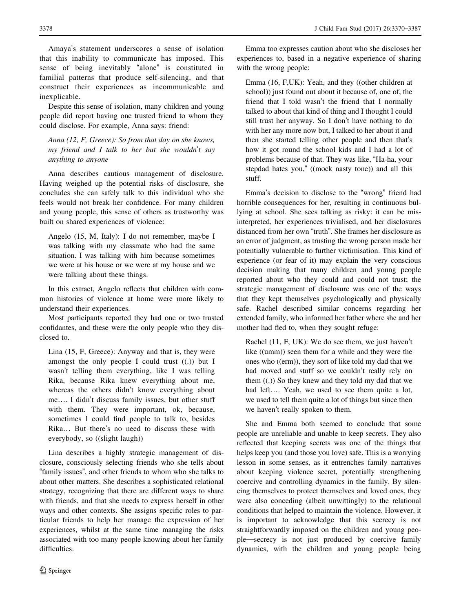Amaya's statement underscores a sense of isolation that this inability to communicate has imposed. This sense of being inevitably "alone" is constituted in familial patterns that produce self-silencing, and that construct their experiences as incommunicable and inexplicable.

Despite this sense of isolation, many children and young people did report having one trusted friend to whom they could disclose. For example, Anna says: friend:

Anna (12, F, Greece): So from that day on she knows, my friend and I talk to her but she wouldn't say anything to anyone

Anna describes cautious management of disclosure. Having weighed up the potential risks of disclosure, she concludes she can safely talk to this individual who she feels would not break her confidence. For many children and young people, this sense of others as trustworthy was built on shared experiences of violence:

Angelo (15, M, Italy): I do not remember, maybe I was talking with my classmate who had the same situation. I was talking with him because sometimes we were at his house or we were at my house and we were talking about these things.

In this extract, Angelo reflects that children with common histories of violence at home were more likely to understand their experiences.

Most participants reported they had one or two trusted confidantes, and these were the only people who they disclosed to.

Lina (15, F, Greece): Anyway and that is, they were amongst the only people I could trust  $((.)$  but I wasn't telling them everything, like I was telling Rika, because Rika knew everything about me, whereas the others didn't know everything about me…. I didn't discuss family issues, but other stuff with them. They were important, ok, because, sometimes I could find people to talk to, besides Rika… But there's no need to discuss these with everybody, so ((slight laugh))

Lina describes a highly strategic management of disclosure, consciously selecting friends who she tells about "family issues", and other friends to whom who she talks to about other matters. She describes a sophisticated relational strategy, recognizing that there are different ways to share with friends, and that she needs to express herself in other ways and other contexts. She assigns specific roles to particular friends to help her manage the expression of her experiences, whilst at the same time managing the risks associated with too many people knowing about her family difficulties.

Emma too expresses caution about who she discloses her experiences to, based in a negative experience of sharing with the wrong people:

Emma (16, F,UK): Yeah, and they ((other children at school)) just found out about it because of, one of, the friend that I told wasn't the friend that I normally talked to about that kind of thing and I thought I could still trust her anyway. So I don't have nothing to do with her any more now but, I talked to her about it and then she started telling other people and then that's how it got round the school kids and I had a lot of problems because of that. They was like, "Ha-ha, your stepdad hates you," ((mock nasty tone)) and all this stuff.

Emma's decision to disclose to the "wrong" friend had horrible consequences for her, resulting in continuous bullying at school. She sees talking as risky: it can be misinterpreted, her experiences trivialised, and her disclosures distanced from her own "truth". She frames her disclosure as an error of judgment, as trusting the wrong person made her potentially vulnerable to further victimisation. This kind of experience (or fear of it) may explain the very conscious decision making that many children and young people reported about who they could and could not trust; the strategic management of disclosure was one of the ways that they kept themselves psychologically and physically safe. Rachel described similar concerns regarding her extended family, who informed her father where she and her mother had fled to, when they sought refuge:

Rachel (11, F, UK): We do see them, we just haven't like ((umm)) seen them for a while and they were the ones who ((erm)), they sort of like told my dad that we had moved and stuff so we couldn't really rely on them  $((.)$ ) So they knew and they told my dad that we had left…. Yeah, we used to see them quite a lot, we used to tell them quite a lot of things but since then we haven't really spoken to them.

She and Emma both seemed to conclude that some people are unreliable and unable to keep secrets. They also reflected that keeping secrets was one of the things that helps keep you (and those you love) safe. This is a worrying lesson in some senses, as it entrenches family narratives about keeping violence secret, potentially strengthening coercive and controlling dynamics in the family. By silencing themselves to protect themselves and loved ones, they were also conceding (albeit unwittingly) to the relational conditions that helped to maintain the violence. However, it is important to acknowledge that this secrecy is not straightforwardly imposed on the children and young people—secrecy is not just produced by coercive family dynamics, with the children and young people being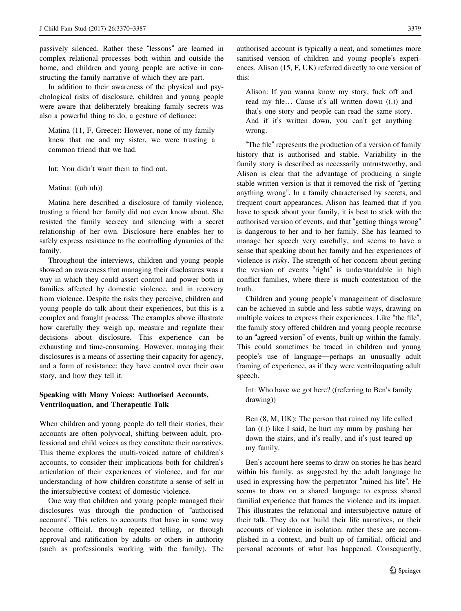passively silenced. Rather these "lessons" are learned in complex relational processes both within and outside the home, and children and young people are active in constructing the family narrative of which they are part.

In addition to their awareness of the physical and psychological risks of disclosure, children and young people were aware that deliberately breaking family secrets was also a powerful thing to do, a gesture of defiance:

Matina (11, F, Greece): However, none of my family knew that me and my sister, we were trusting a common friend that we had.

Int: You didn't want them to find out.

Matina: ((uh uh))

Matina here described a disclosure of family violence, trusting a friend her family did not even know about. She resisted the family secrecy and silencing with a secret relationship of her own. Disclosure here enables her to safely express resistance to the controlling dynamics of the family.

Throughout the interviews, children and young people showed an awareness that managing their disclosures was a way in which they could assert control and power both in families affected by domestic violence, and in recovery from violence. Despite the risks they perceive, children and young people do talk about their experiences, but this is a complex and fraught process. The examples above illustrate how carefully they weigh up, measure and regulate their decisions about disclosure. This experience can be exhausting and time-consuming. However, managing their disclosures is a means of asserting their capacity for agency, and a form of resistance: they have control over their own story, and how they tell it.

# Speaking with Many Voices: Authorised Accounts, Ventriloquation, and Therapeutic Talk

When children and young people do tell their stories, their accounts are often polyvocal, shifting between adult, professional and child voices as they constitute their narratives. This theme explores the multi-voiced nature of children's accounts, to consider their implications both for children's articulation of their experiences of violence, and for our understanding of how children constitute a sense of self in the intersubjective context of domestic violence.

One way that children and young people managed their disclosures was through the production of "authorised accounts". This refers to accounts that have in some way become official, through repeated telling, or through approval and ratification by adults or others in authority (such as professionals working with the family). The

authorised account is typically a neat, and sometimes more sanitised version of children and young people's experiences. Alison (15, F, UK) referred directly to one version of this:

Alison: If you wanna know my story, fuck off and read my file… Cause it's all written down ((.)) and that's one story and people can read the same story. And if it's written down, you can't get anything wrong.

"The file" represents the production of a version of family history that is authorised and stable. Variability in the family story is described as necessarily untrustworthy, and Alison is clear that the advantage of producing a single stable written version is that it removed the risk of "getting anything wrong". In a family characterised by secrets, and frequent court appearances, Alison has learned that if you have to speak about your family, it is best to stick with the authorised version of events, and that "getting things wrong" is dangerous to her and to her family. She has learned to manage her speech very carefully, and seems to have a sense that speaking about her family and her experiences of violence is risky. The strength of her concern about getting the version of events "right" is understandable in high conflict families, where there is much contestation of the truth.

Children and young people's management of disclosure can be achieved in subtle and less subtle ways, drawing on multiple voices to express their experiences. Like "the file", the family story offered children and young people recourse to an "agreed version" of events, built up within the family. This could sometimes be traced in children and young people's use of language—perhaps an unusually adult framing of experience, as if they were ventriloquating adult speech.

Int: Who have we got here? ((referring to Ben's family drawing))

Ben (8, M, UK): The person that ruined my life called Ian  $((.)$  like I said, he hurt my mum by pushing her down the stairs, and it's really, and it's just teared up my family.

Ben's account here seems to draw on stories he has heard within his family, as suggested by the adult language he used in expressing how the perpetrator "ruined his life". He seems to draw on a shared language to express shared familial experience that frames the violence and its impact. This illustrates the relational and intersubjective nature of their talk. They do not build their life narratives, or their accounts of violence in isolation: rather these are accomplished in a context, and built up of familial, official and personal accounts of what has happened. Consequently,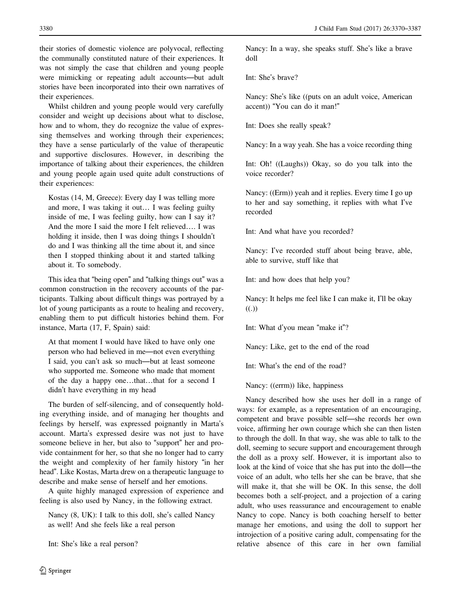their stories of domestic violence are polyvocal, reflecting the communally constituted nature of their experiences. It was not simply the case that children and young people were mimicking or repeating adult accounts—but adult stories have been incorporated into their own narratives of their experiences.

Whilst children and young people would very carefully consider and weight up decisions about what to disclose, how and to whom, they do recognize the value of expressing themselves and working through their experiences; they have a sense particularly of the value of therapeutic and supportive disclosures. However, in describing the importance of talking about their experiences, the children and young people again used quite adult constructions of their experiences:

Kostas (14, M, Greece): Every day I was telling more and more, I was taking it out… I was feeling guilty inside of me, I was feeling guilty, how can I say it? And the more I said the more I felt relieved…. I was holding it inside, then I was doing things I shouldn't do and I was thinking all the time about it, and since then I stopped thinking about it and started talking about it. To somebody.

This idea that "being open" and "talking things out" was a common construction in the recovery accounts of the participants. Talking about difficult things was portrayed by a lot of young participants as a route to healing and recovery, enabling them to put difficult histories behind them. For instance, Marta (17, F, Spain) said:

At that moment I would have liked to have only one person who had believed in me—not even everything I said, you can't ask so much—but at least someone who supported me. Someone who made that moment of the day a happy one…that…that for a second I didn't have everything in my head

The burden of self-silencing, and of consequently holding everything inside, and of managing her thoughts and feelings by herself, was expressed poignantly in Marta's account. Marta's expressed desire was not just to have someone believe in her, but also to "support" her and provide containment for her, so that she no longer had to carry the weight and complexity of her family history "in her head". Like Kostas, Marta drew on a therapeutic language to describe and make sense of herself and her emotions.

A quite highly managed expression of experience and feeling is also used by Nancy, in the following extract.

Nancy (8, UK): I talk to this doll, she's called Nancy as well! And she feels like a real person

Int: She's like a real person?

Nancy: In a way, she speaks stuff. She's like a brave doll

Int: She's brave?

Nancy: She's like ((puts on an adult voice, American accent)) "You can do it man!"

Int: Does she really speak?

Nancy: In a way yeah. She has a voice recording thing

Int: Oh! ((Laughs)) Okay, so do you talk into the voice recorder?

Nancy: ((Erm)) yeah and it replies. Every time I go up to her and say something, it replies with what I've recorded

Int: And what have you recorded?

Nancy: I've recorded stuff about being brave, able, able to survive, stuff like that

Int: and how does that help you?

Nancy: It helps me feel like I can make it, I'll be okay ((.))

Int: What d'you mean "make it"?

Nancy: Like, get to the end of the road

Int: What's the end of the road?

Nancy: ((errm)) like, happiness

Nancy described how she uses her doll in a range of ways: for example, as a representation of an encouraging, competent and brave possible self—she records her own voice, affirming her own courage which she can then listen to through the doll. In that way, she was able to talk to the doll, seeming to secure support and encouragement through the doll as a proxy self. However, it is important also to look at the kind of voice that she has put into the doll—the voice of an adult, who tells her she can be brave, that she will make it, that she will be OK. In this sense, the doll becomes both a self-project, and a projection of a caring adult, who uses reassurance and encouragement to enable Nancy to cope. Nancy is both coaching herself to better manage her emotions, and using the doll to support her introjection of a positive caring adult, compensating for the relative absence of this care in her own familial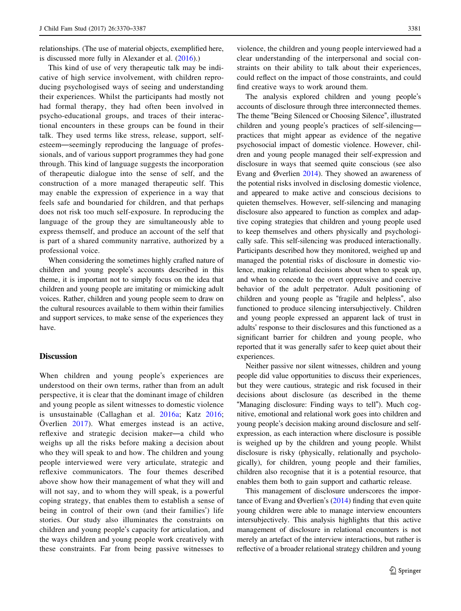relationships. (The use of material objects, exemplified here, is discussed more fully in Alexander et al. ([2016\)](#page-15-0).)

This kind of use of very therapeutic talk may be indicative of high service involvement, with children reproducing psychologised ways of seeing and understanding their experiences. Whilst the participants had mostly not had formal therapy, they had often been involved in psycho-educational groups, and traces of their interactional encounters in these groups can be found in their talk. They used terms like stress, release, support, selfesteem—seemingly reproducing the language of professionals, and of various support programmes they had gone through. This kind of language suggests the incorporation of therapeutic dialogue into the sense of self, and the construction of a more managed therapeutic self. This may enable the expression of experience in a way that feels safe and boundaried for children, and that perhaps does not risk too much self-exposure. In reproducing the language of the group they are simultaneously able to express themself, and produce an account of the self that is part of a shared community narrative, authorized by a professional voice.

When considering the sometimes highly crafted nature of children and young people's accounts described in this theme, it is important not to simply focus on the idea that children and young people are imitating or mimicking adult voices. Rather, children and young people seem to draw on the cultural resources available to them within their families and support services, to make sense of the experiences they have.

## **Discussion**

When children and young people's experiences are understood on their own terms, rather than from an adult perspective, it is clear that the dominant image of children and young people as silent witnesses to domestic violence is unsustainable (Callaghan et al. [2016a;](#page-15-0) Katz [2016](#page-16-0); Överlien [2017](#page-16-0)). What emerges instead is an active, reflexive and strategic decision maker—a child who weighs up all the risks before making a decision about who they will speak to and how. The children and young people interviewed were very articulate, strategic and reflexive communicators. The four themes described above show how their management of what they will and will not say, and to whom they will speak, is a powerful coping strategy, that enables them to establish a sense of being in control of their own (and their families') life stories. Our study also illuminates the constraints on children and young people's capacity for articulation, and the ways children and young people work creatively with these constraints. Far from being passive witnesses to

violence, the children and young people interviewed had a clear understanding of the interpersonal and social constraints on their ability to talk about their experiences, could reflect on the impact of those constraints, and could find creative ways to work around them.

The analysis explored children and young people's accounts of disclosure through three interconnected themes. The theme "Being Silenced or Choosing Silence", illustrated children and young people's practices of self-silencing practices that might appear as evidence of the negative psychosocial impact of domestic violence. However, children and young people managed their self-expression and disclosure in ways that seemed quite conscious (see also Evang and Øverlien [2014](#page-15-0)). They showed an awareness of the potential risks involved in disclosing domestic violence, and appeared to make active and conscious decisions to quieten themselves. However, self-silencing and managing disclosure also appeared to function as complex and adaptive coping strategies that children and young people used to keep themselves and others physically and psychologically safe. This self-silencing was produced interactionally. Participants described how they monitored, weighed up and managed the potential risks of disclosure in domestic violence, making relational decisions about when to speak up, and when to concede to the overt oppressive and coercive behavior of the adult perpetrator. Adult positioning of children and young people as "fragile and helpless", also functioned to produce silencing intersubjectively. Children and young people expressed an apparent lack of trust in adults' response to their disclosures and this functioned as a significant barrier for children and young people, who reported that it was generally safer to keep quiet about their experiences.

Neither passive nor silent witnesses, children and young people did value opportunities to discuss their experiences, but they were cautious, strategic and risk focused in their decisions about disclosure (as described in the theme "Managing disclosure: Finding ways to tell"). Much cognitive, emotional and relational work goes into children and young people's decision making around disclosure and selfexpression, as each interaction where disclosure is possible is weighed up by the children and young people. Whilst disclosure is risky (physically, relationally and psychologically), for children, young people and their families, children also recognise that it is a potential resource, that enables them both to gain support and cathartic release.

This management of disclosure underscores the importance of Evang and Øverlien's  $(2014)$  $(2014)$  finding that even quite young children were able to manage interview encounters intersubjectively. This analysis highlights that this active management of disclosure in relational encounters is not merely an artefact of the interview interactions, but rather is reflective of a broader relational strategy children and young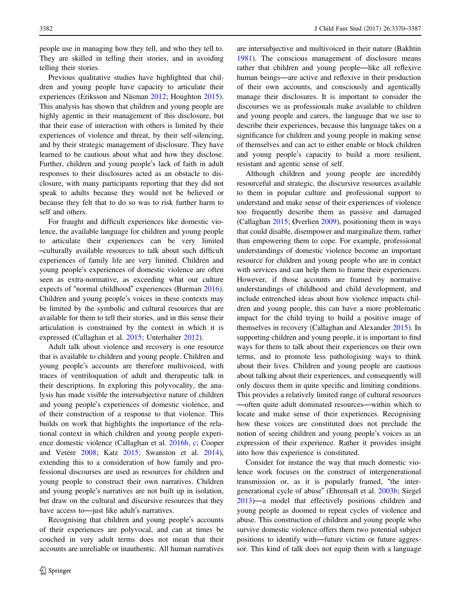people use in managing how they tell, and who they tell to. They are skilled in telling their stories, and in avoiding telling their stories.

Previous qualitative studies have highlighted that children and young people have capacity to articulate their experiences (Eriksson and Näsman [2012;](#page-15-0) Houghton [2015](#page-16-0)). This analysis has shown that children and young people are highly agentic in their management of this disclosure, but that their ease of interaction with others is limited by their experiences of violence and threat, by their self-silencing, and by their strategic management of disclosure. They have learned to be cautious about what and how they disclose. Further, children and young people's lack of faith in adult responses to their disclosures acted as an obstacle to disclosure, with many participants reporting that they did not speak to adults because they would not be believed or because they felt that to do so was to risk further harm to self and others.

For fraught and difficult experiences like domestic violence, the available language for children and young people to articulate their experiences can be very limited –culturally available resources to talk about such difficult experiences of family life are very limited. Children and young people's experiences of domestic violence are often seen as extra-normative, as exceeding what our culture expects of "normal childhood" experiences (Burman [2016](#page-15-0)). Children and young people's voices in these contexts may be limited by the symbolic and cultural resources that are available for them to tell their stories, and in this sense their articulation is constrained by the context in which it is expressed (Callaghan et al. [2015](#page-15-0); Unterhalter [2012](#page-17-0)).

Adult talk about violence and recovery is one resource that is available to children and young people. Children and young people's accounts are therefore multivoiced, with traces of ventriloquation of adult and therapeutic talk in their descriptions. In exploring this polyvocality, the analysis has made visible the intersubjective nature of children and young people's experiences of domestic violence, and of their construction of a response to that violence. This builds on work that highlights the importance of the relational context in which children and young people experience domestic violence (Callaghan et al. [2016b,](#page-15-0) [c;](#page-15-0) Cooper and Vetere [2008;](#page-15-0) Katz [2015](#page-16-0); Swanston et al. [2014](#page-16-0)), extending this to a consideration of how family and professional discourses are used as resources for children and young people to construct their own narratives. Children and young people's narratives are not built up in isolation, but draw on the cultural and discursive resources that they have access to—just like adult's narratives.

Recognising that children and young people's accounts of their experiences are polyvocal, and can at times be couched in very adult terms does not mean that their accounts are unreliable or inauthentic. All human narratives are intersubjective and multivoiced in their nature (Bakhtin [1981](#page-15-0)). The conscious management of disclosure means rather that children and young people—like all reflexive human beings—are active and reflexive in their production of their own accounts, and consciously and agentically manage their disclosures. It is important to consider the discourses we as professionals make available to children and young people and carers, the language that we use to describe their experiences, because this language takes on a significance for children and young people in making sense of themselves and can act to either enable or block children and young people's capacity to build a more resilient, resistant and agentic sense of self.

Although children and young people are incredibly resourceful and strategic, the discursive resources available to them in popular culture and professional support to understand and make sense of their experiences of violence too frequently describe them as passive and damaged (Callaghan [2015](#page-15-0); Øverlien [2009](#page-16-0)), positioning them in ways that could disable, disempower and marginalize them, rather than empowering them to cope. For example, professional understandings of domestic violence become an important resource for children and young people who are in contact with services and can help them to frame their experiences. However, if those accounts are framed by normative understandings of childhood and child development, and include entrenched ideas about how violence impacts children and young people, this can have a more problematic impact for the child trying to build a positive image of themselves in recovery (Callaghan and Alexander [2015\)](#page-15-0). In supporting children and young people, it is important to find ways for them to talk about their experiences on their own terms, and to promote less pathologising ways to think about their lives. Children and young people are cautious about talking about their experiences, and consequently will only discuss them in quite specific and limiting conditions. This provides a relatively limited range of cultural resources —often quite adult dominated resources—within which to locate and make sense of their experiences. Recognising how these voices are constituted does not preclude the notion of seeing children and young people's voices as an expression of their experience. Rather it provides insight into how this experience is constituted.

Consider for instance the way that much domestic violence work focuses on the construct of intergenerational transmission or, as it is popularly framed, "the intergenerational cycle of abuse" (Ehrensaft et al. [2003b;](#page-15-0) Siegel [2013](#page-16-0))—a model that effectively positions children and young people as doomed to repeat cycles of violence and abuse. This construction of children and young people who survive domestic violence offers them two potential subject positions to identify with—future victim or future aggressor. This kind of talk does not equip them with a language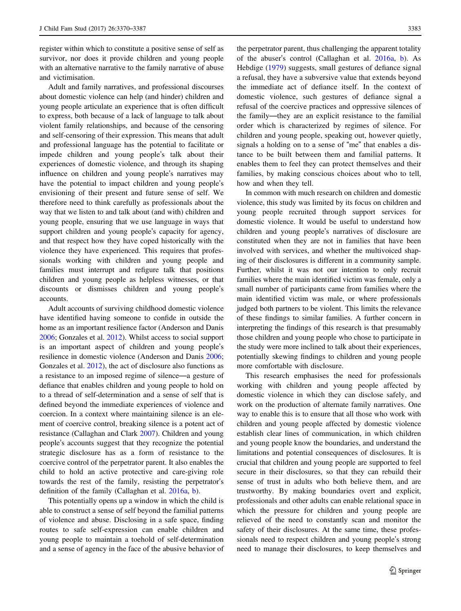register within which to constitute a positive sense of self as survivor, nor does it provide children and young people with an alternative narrative to the family narrative of abuse and victimisation.

Adult and family narratives, and professional discourses about domestic violence can help (and hinder) children and young people articulate an experience that is often difficult to express, both because of a lack of language to talk about violent family relationships, and because of the censoring and self-censoring of their expression. This means that adult and professional language has the potential to facilitate or impede children and young people's talk about their experiences of domestic violence, and through its shaping influence on children and young people's narratives may have the potential to impact children and young people's envisioning of their present and future sense of self. We therefore need to think carefully as professionals about the way that we listen to and talk about (and with) children and young people, ensuring that we use language in ways that support children and young people's capacity for agency, and that respect how they have coped historically with the violence they have experienced. This requires that professionals working with children and young people and families must interrupt and refigure talk that positions children and young people as helpless witnesses, or that discounts or dismisses children and young people's accounts.

Adult accounts of surviving childhood domestic violence have identified having someone to confide in outside the home as an important resilience factor (Anderson and Danis [2006;](#page-15-0) Gonzales et al. [2012\)](#page-16-0). Whilst access to social support is an important aspect of children and young people's resilience in domestic violence (Anderson and Danis [2006](#page-15-0); Gonzales et al. [2012](#page-16-0)), the act of disclosure also functions as a resistance to an imposed regime of silence—a gesture of defiance that enables children and young people to hold on to a thread of self-determination and a sense of self that is defined beyond the immediate experiences of violence and coercion. In a context where maintaining silence is an element of coercive control, breaking silence is a potent act of resistance (Callaghan and Clark [2007\)](#page-15-0). Children and young people's accounts suggest that they recognize the potential strategic disclosure has as a form of resistance to the coercive control of the perpetrator parent. It also enables the child to hold an active protective and care-giving role towards the rest of the family, resisting the perpetrator's definition of the family (Callaghan et al. [2016a](#page-15-0), [b](#page-15-0)).

This potentially opens up a window in which the child is able to construct a sense of self beyond the familial patterns of violence and abuse. Disclosing in a safe space, finding routes to safe self-expression can enable children and young people to maintain a toehold of self-determination and a sense of agency in the face of the abusive behavior of the perpetrator parent, thus challenging the apparent totality of the abuser's control (Callaghan et al. [2016a](#page-15-0), [b](#page-15-0)). As Hebdige [\(1979\)](#page-16-0) suggests, small gestures of defiance signal a refusal, they have a subversive value that extends beyond the immediate act of defiance itself. In the context of domestic violence, such gestures of defiance signal a refusal of the coercive practices and oppressive silences of the family—they are an explicit resistance to the familial order which is characterized by regimes of silence. For children and young people, speaking out, however quietly, signals a holding on to a sense of "me" that enables a distance to be built between them and familial patterns. It enables them to feel they can protect themselves and their families, by making conscious choices about who to tell, how and when they tell.

In common with much research on children and domestic violence, this study was limited by its focus on children and young people recruited through support services for domestic violence. It would be useful to understand how children and young people's narratives of disclosure are constituted when they are not in families that have been involved with services, and whether the multivoiced shaping of their disclosures is different in a community sample. Further, whilst it was not our intention to only recruit families where the main identified victim was female, only a small number of participants came from families where the main identified victim was male, or where professionals judged both partners to be violent. This limits the relevance of these findings to similar families. A further concern in interpreting the findings of this research is that presumably those children and young people who chose to participate in the study were more inclined to talk about their experiences, potentially skewing findings to children and young people more comfortable with disclosure.

This research emphasises the need for professionals working with children and young people affected by domestic violence in which they can disclose safely, and work on the production of alternate family narratives. One way to enable this is to ensure that all those who work with children and young people affected by domestic violence establish clear lines of communication, in which children and young people know the boundaries, and understand the limitations and potential consequences of disclosures. It is crucial that children and young people are supported to feel secure in their disclosures, so that they can rebuild their sense of trust in adults who both believe them, and are trustworthy. By making boundaries overt and explicit, professionals and other adults can enable relational space in which the pressure for children and young people are relieved of the need to constantly scan and monitor the safety of their disclosures. At the same time, these professionals need to respect children and young people's strong need to manage their disclosures, to keep themselves and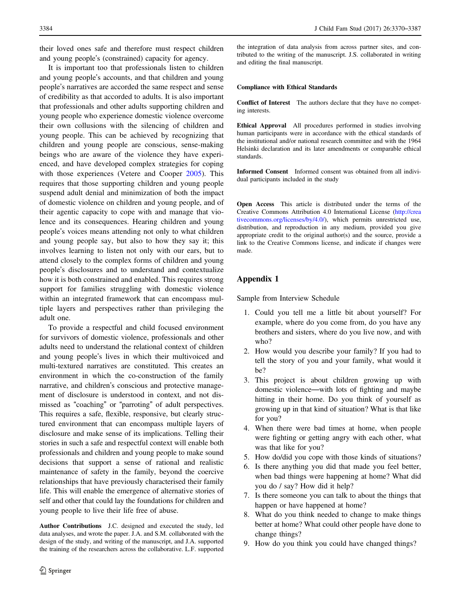<span id="page-14-0"></span>their loved ones safe and therefore must respect children and young people's (constrained) capacity for agency.

It is important too that professionals listen to children and young people's accounts, and that children and young people's narratives are accorded the same respect and sense of credibility as that accorded to adults. It is also important that professionals and other adults supporting children and young people who experience domestic violence overcome their own collusions with the silencing of children and young people. This can be achieved by recognizing that children and young people are conscious, sense-making beings who are aware of the violence they have experienced, and have developed complex strategies for coping with those experiences (Vetere and Cooper [2005\)](#page-17-0). This requires that those supporting children and young people suspend adult denial and minimization of both the impact of domestic violence on children and young people, and of their agentic capacity to cope with and manage that violence and its consequences. Hearing children and young people's voices means attending not only to what children and young people say, but also to how they say it; this involves learning to listen not only with our ears, but to attend closely to the complex forms of children and young people's disclosures and to understand and contextualize how it is both constrained and enabled. This requires strong support for families struggling with domestic violence within an integrated framework that can encompass multiple layers and perspectives rather than privileging the adult one.

To provide a respectful and child focused environment for survivors of domestic violence, professionals and other adults need to understand the relational context of children and young people's lives in which their multivoiced and multi-textured narratives are constituted. This creates an environment in which the co-construction of the family narrative, and children's conscious and protective management of disclosure is understood in context, and not dismissed as "coaching" or "parroting" of adult perspectives. This requires a safe, flexible, responsive, but clearly structured environment that can encompass multiple layers of disclosure and make sense of its implications. Telling their stories in such a safe and respectful context will enable both professionals and children and young people to make sound decisions that support a sense of rational and realistic maintenance of safety in the family, beyond the coercive relationships that have previously characterised their family life. This will enable the emergence of alternative stories of self and other that could lay the foundations for children and young people to live their life free of abuse.

Author Contributions J.C. designed and executed the study, led data analyses, and wrote the paper. J.A. and S.M. collaborated with the design of the study, and writing of the manuscript, and J.A. supported the training of the researchers across the collaborative. L.F. supported the integration of data analysis from across partner sites, and contributed to the writing of the manuscript. J.S. collaborated in writing and editing the final manuscript.

## Compliance with Ethical Standards

Conflict of Interest The authors declare that they have no competing interests.

Ethical Approval All procedures performed in studies involving human participants were in accordance with the ethical standards of the institutional and/or national research committee and with the 1964 Helsinki declaration and its later amendments or comparable ethical standards.

Informed Consent Informed consent was obtained from all individual participants included in the study

Open Access This article is distributed under the terms of the Creative Commons Attribution 4.0 International License [\(http://crea](http://creativecommons.org/licenses/by/4.0/) [tivecommons.org/licenses/by/4.0/](http://creativecommons.org/licenses/by/4.0/)), which permits unrestricted use, distribution, and reproduction in any medium, provided you give appropriate credit to the original author(s) and the source, provide a link to the Creative Commons license, and indicate if changes were made.

## Appendix 1

Sample from Interview Schedule

- 1. Could you tell me a little bit about yourself? For example, where do you come from, do you have any brothers and sisters, where do you live now, and with who?
- 2. How would you describe your family? If you had to tell the story of you and your family, what would it be?
- 3. This project is about children growing up with domestic violence—with lots of fighting and maybe hitting in their home. Do you think of yourself as growing up in that kind of situation? What is that like for you?
- 4. When there were bad times at home, when people were fighting or getting angry with each other, what was that like for you?
- 5. How do/did you cope with those kinds of situations?
- 6. Is there anything you did that made you feel better, when bad things were happening at home? What did you do / say? How did it help?
- 7. Is there someone you can talk to about the things that happen or have happened at home?
- 8. What do you think needed to change to make things better at home? What could other people have done to change things?
- 9. How do you think you could have changed things?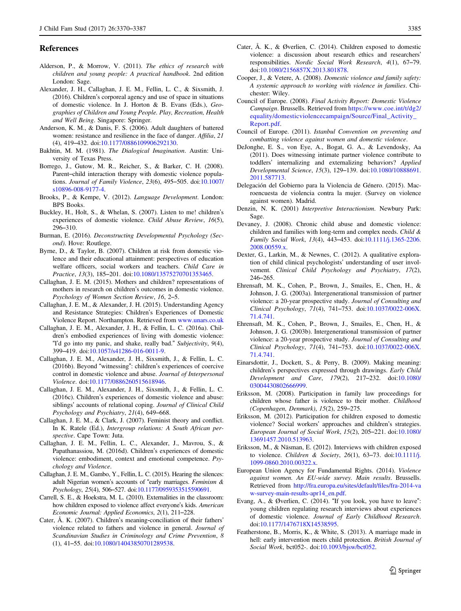#### <span id="page-15-0"></span>References

- Alderson, P., & Morrow, V. (2011). The ethics of research with children and young people: A practical handbook. 2nd edition London: Sage.
- Alexander, J. H., Callaghan, J. E. M., Fellin, L. C., & Sixsmith, J. (2016). Children's corporeal agency and use of space in situations of domestic violence. In J. Horton & B. Evans (Eds.), Geographies of Children and Young People. Play, Recreation, Health and Well Being. Singapore: Springer.
- Anderson, K. M., & Danis, F. S. (2006). Adult daughters of battered women: resistance and resilience in the face of danger. Affilia, 21 (4), 419–432. doi[:10.1177/0886109906292130.](http://dx.doi.org/10.1177/0886109906292130)
- Bakhtin, M. M. (1981). The Dialogical Imagination. Austin: University of Texas Press.
- Borrego, J., Gutow, M. R., Reicher, S., & Barker, C. H. (2008). Parent–child interaction therapy with domestic violence populations. Journal of Family Violence, 23(6), 495–505. doi[:10.1007/](http://dx.doi.org/10.1007/s10896-008-9177-4) [s10896-008-9177-4.](http://dx.doi.org/10.1007/s10896-008-9177-4)
- Brooks, P., & Kempe, V. (2012). Language Development. London: BPS Books.
- Buckley, H., Holt, S., & Whelan, S. (2007). Listen to me! children's experiences of domestic violence. Child Abuse Review, 16(5), 296–310.
- Burman, E. (2016). Deconstructing Developmental Psychology (Second). Hove: Routlege.
- Byrne, D., & Taylor, B. (2007). Children at risk from domestic violence and their educational attainment: perspectives of education welfare officers, social workers and teachers. Child Care in Practice, 13(3), 185–201. doi[:10.1080/13575270701353465.](http://dx.doi.org/10.1080/13575270701353465)
- Callaghan, J. E. M. (2015). Mothers and children? representations of mothers in research on children's outcomes in domestic violence. Psychology of Women Section Review, 16, 2–5.
- Callaghan, J. E. M., & Alexander, J. H. (2015). Understanding Agency and Resistance Strategies: Children's Experiences of Domestic Violence Report. Northampton. Retrieved from [www.unars.co.uk](http://www.unars.co.uk)
- Callaghan, J. E. M., Alexander, J. H., & Fellin, L. C. (2016a). Children's embodied experiences of living with domestic violence: "I'd go into my panic, and shake, really bad." Subjectivity, 9(4), 399–419. doi:[10.1057/s41286-016-0011-9](http://dx.doi.org/10.1057/s41286-016-0011-9).
- Callaghan, J. E. M., Alexander, J. H., Sixsmith, J., & Fellin, L. C. (2016b). Beyond "witnessing": children's experiences of coercive control in domestic violence and abuse. Journal of Interpersonal Violence. doi[:10.1177/0886260515618946.](http://dx.doi.org/10.1177/0886260515618946)
- Callaghan, J. E. M., Alexander, J. H., Sixsmith, J., & Fellin, L. C. (2016c). Children's experiences of domestic violence and abuse: siblings' accounts of relational coping. Journal of Clinical Child Psychology and Psychiatry, 21(4), 649–668.
- Callaghan, J. E. M., & Clark, J. (2007). Feminist theory and conflict. In K. Ratele (Ed.), Intergroup relations: A South African perspective. Cape Town: Juta.
- Callaghan, J. E. M., Fellin, L. C., Alexander, J., Mavrou, S., & Papathanassiou, M. (2016d). Children's experiences of domestic violence: embodiment, context and emotional competence. Psychology and Violence.
- Callaghan, J. E. M., Gambo, Y., Fellin, L. C. (2015). Hearing the silences: adult Nigerian women's accounts of "early marriages. Feminism & Psychology, 25(4), 506–527. doi:[10.1177/0959353515590691](http://dx.doi.org/10.1177/0959353515590691).
- Carrell, S. E., & Hoekstra, M. L. (2010). Externalities in the classroom: how children exposed to violence affect everyone's kids. American Economic Journal: Applied Economics, 2(1), 211–228.
- Cater, Å. K. (2007). Children's meaning‐conciliation of their fathers' violence related to fathers and violence in general. Journal of Scandinavian Studies in Criminology and Crime Prevention, 8 (1), 41–55. doi:[10.1080/14043850701289538.](http://dx.doi.org/10.1080/14043850701289538)
- Cater, Å. K., & Øverlien, C. (2014). Children exposed to domestic violence: a discussion about research ethics and researchers' responsibilities. Nordic Social Work Research, 4(1), 67–79. doi[:10.1080/2156857X.2013.801878](http://dx.doi.org/10.1080/2156857X.2013.801878).
- Cooper, J., & Vetere, A. (2008). Domestic violence and family safety: A systemic approach to working with violence in families. Chichester: Wiley.
- Council of Europe. (2008). Final Activity Report: Domestic Violence Campaign. Brussells. Retrieved from [https://www.coe.int/t/dg2/](https://www.coe.int/t/dg2/equality/domesticviolencecampaign/Source/Final_Activity_Report.pdf) [equality/domesticviolencecampaign/Source/Final\\_Activity\\_](https://www.coe.int/t/dg2/equality/domesticviolencecampaign/Source/Final_Activity_Report.pdf) [Report.pdf.](https://www.coe.int/t/dg2/equality/domesticviolencecampaign/Source/Final_Activity_Report.pdf)
- Council of Europe. (2011). Istanbul Convention on preventing and combatting violence against women and domestic violence.
- DeJonghe, E. S., von Eye, A., Bogat, G. A., & Levendosky, Aa (2011). Does witnessing intimate partner violence contribute to toddlers' internalizing and externalizing behaviors? Applied Developmental Science, 15(3), 129–139. doi[:10.1080/10888691.](http://dx.doi.org/10.1080/10888691.2011.587713) [2011.587713.](http://dx.doi.org/10.1080/10888691.2011.587713)
- Delegación del Gobierno para la Violencia de Género. (2015). Macroencuesta de violencia contra la mujer. (Survey on violence against women). Madrid.
- Denzin, N. K. (2001) Interpretive Interactionism. Newbury Park: Sage.
- Devaney, J. (2008). Chronic child abuse and domestic violence: children and families with long-term and complex needs. Child & Family Social Work, 13(4), 443–453. doi[:10.1111/j.1365-2206.](http://dx.doi.org/10.1111/j.1365-2206.2008.00559.x) [2008.00559.x.](http://dx.doi.org/10.1111/j.1365-2206.2008.00559.x)
- Dexter, G., Larkin, M., & Newnes, C. (2012). A qualitative exploration of child clinical psychologists' understanding of user involvement. Clinical Child Psychology and Psychiatry, 17(2), 246–265.
- Ehrensaft, M. K., Cohen, P., Brown, J., Smailes, E., Chen, H., & Johnson, J. G. (2003a). Intergenerational transmission of partner violence: a 20-year prospective study. Journal of Consulting and Clinical Psychology, 71(4), 741–753. doi:[10.1037/0022-006X.](http://dx.doi.org/10.1037/0022-006X.71.4.741) [71.4.741.](http://dx.doi.org/10.1037/0022-006X.71.4.741)
- Ehrensaft, M. K., Cohen, P., Brown, J., Smailes, E., Chen, H., & Johnson, J. G. (2003b). Intergenerational transmission of partner violence: a 20-year prospective study. Journal of Consulting and Clinical Psychology, 71(4), 741–753. doi:[10.1037/0022-006X.](http://dx.doi.org/10.1037/0022-006X.71.4.741) [71.4.741.](http://dx.doi.org/10.1037/0022-006X.71.4.741)
- Einarsdottir, J., Dockett, S., & Perry, B. (2009). Making meaning: children's perspectives expressed through drawings. Early Child Development and Care, 179(2), 217–232. doi[:10.1080/](http://dx.doi.org/10.1080/03004430802666999) [03004430802666999](http://dx.doi.org/10.1080/03004430802666999).
- Eriksson, M. (2008). Participation in family law proceedings for children whose father is violence to their mother. Childhood (Copenhagen, Denmark), 15(2), 259–275.
- Eriksson, M. (2012). Participation for children exposed to domestic violence? Social workers' approaches and children's strategies. European Journal of Social Work, 15(2), 205–221. doi[:10.1080/](http://dx.doi.org/10.1080/13691457.2010.513963) [13691457.2010.513963.](http://dx.doi.org/10.1080/13691457.2010.513963)
- Eriksson, M., & Näsman, E. (2012). Interviews with children exposed to violence. Children & Society, 26(1), 63–73. doi[:10.1111/j.](http://dx.doi.org/10.1111/j.1099-0860.2010.00322.x) [1099-0860.2010.00322.x](http://dx.doi.org/10.1111/j.1099-0860.2010.00322.x).
- European Union Agency for Fundamental Rights. (2014). Violence against women. An EU-wide survey. Main results. Brussells. Retrieved from [http://fra.europa.eu/sites/default/](http://fra.europa.eu/sites/default/files/fra-2014-vaw-survey-main-results-apr14_en.pdf)files/fra-2014-va [w-survey-main-results-apr14\\_en.pdf.](http://fra.europa.eu/sites/default/files/fra-2014-vaw-survey-main-results-apr14_en.pdf)
- Evang, A., & Øverlien, C. (2014). "If you look, you have to leave": young children regulating research interviews about experiences of domestic violence. Journal of Early Childhood Research. doi[:10.1177/1476718X14538595.](http://dx.doi.org/10.1177/1476718X14538595)
- Featherstone, B., Morris, K., & White, S. (2013). A marriage made in hell: early intervention meets child protection. British Journal of Social Work, bct052-. doi:[10.1093/bjsw/bct052.](http://dx.doi.org/10.1093/bjsw/bct052)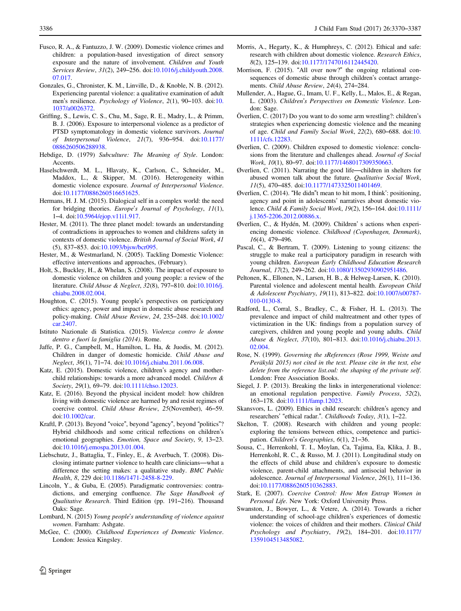- <span id="page-16-0"></span>Fusco, R. A., & Fantuzzo, J. W. (2009). Domestic violence crimes and children: a population-based investigation of direct sensory exposure and the nature of involvement. Children and Youth Services Review, 31(2), 249–256. doi:[10.1016/j.childyouth.2008.](http://dx.doi.org/10.1016/j.childyouth.2008.07.017) [07.017](http://dx.doi.org/10.1016/j.childyouth.2008.07.017).
- Gonzales, G., Chronister, K. M., Linville, D., & Knoble, N. B. (2012). Experiencing parental violence: a qualitative examination of adult men's resilience. Psychology of Violence, 2(1), 90–103. doi:[10.](http://dx.doi.org/10.1037/a0026372) [1037/a0026372.](http://dx.doi.org/10.1037/a0026372)
- Griffing, S., Lewis, C. S., Chu, M., Sage, R. E., Madry, L., & Primm, B. J. (2006). Exposure to interpersonal violence as a predictor of PTSD symptomatology in domestic violence survivors. Journal of Interpersonal Violence, 21(7), 936–954. doi[:10.1177/](http://dx.doi.org/10.1177/0886260506288938) [0886260506288938.](http://dx.doi.org/10.1177/0886260506288938)
- Hebdige, D. (1979) Subculture: The Meaning of Style. London: Accents.
- Haselschwerdt, M. L., Hlavaty, K., Carlson, C., Schneider, M., Maddox, L., & Skipper, M. (2016). Heterogeneity within domestic violence exposure. Journal of Interpersonal Violence. doi[:10.1177/0886260516651625.](http://dx.doi.org/10.1177/0886260516651625)
- Hermans, H. J. M. (2015). Dialogical self in a complex world: the need for bridging theories. Europe's Journal of Psychology, 11(1), 1–4. doi:[10.5964/ejop.v11i1.917](http://dx.doi.org/10.5964/ejop.v11i1.917).
- Hester, M. (2011). The three planet model: towards an understanding of contradictions in approaches to women and childrens safety in contexts of domestic violence. British Journal of Social Work, 41 (5), 837–853. doi[:10.1093/bjsw/bcr095.](http://dx.doi.org/10.1093/bjsw/bcr095)
- Hester, M., & Westmarland, N. (2005). Tackling Domestic Violence: effective interventions and approaches, (February).
- Holt, S., Buckley, H., & Whelan, S. (2008). The impact of exposure to domestic violence on children and young people: a review of the literature. Child Abuse & Neglect, 32(8), 797–810. doi:[10.1016/j.](http://dx.doi.org/10.1016/j.chiabu.2008.02.004) [chiabu.2008.02.004.](http://dx.doi.org/10.1016/j.chiabu.2008.02.004)
- Houghton, C. (2015). Young people's perspectives on participatory ethics: agency, power and impact in domestic abuse research and policy-making. Child Abuse Review, 24, 235–248. doi[:10.1002/](http://dx.doi.org/10.1002/car.2407) [car.2407](http://dx.doi.org/10.1002/car.2407).
- Istituto Nazionale di Statistica. (2015). Violenza contro le donne dentro e fuori la famiglia (2014). Rome.
- Jaffe, P. G., Campbell, M., Hamilton, L. Ha, & Juodis, M. (2012). Children in danger of domestic homicide. Child Abuse and Neglect, 36(1), 71–74. doi:[10.1016/j.chiabu.2011.06.008.](http://dx.doi.org/10.1016/j.chiabu.2011.06.008)
- Katz, E. (2015). Domestic violence, children's agency and motherchild relationships: towards a more advanced model. Children & Society, 29(1), 69-79. doi[:10.1111/chso.12023.](http://dx.doi.org/10.1111/chso.12023)
- Katz, E. (2016). Beyond the physical incident model: how children living with domestic violence are harmed by and resist regimes of coercive control. Child Abuse Review, 25(November), 46–59. doi[:10.1002/car](http://dx.doi.org/10.1002/car).
- Kraftl, P. (2013). Beyond "voice", beyond "agency", beyond "politics"? Hybrid childhoods and some critical reflections on children's emotional geographies. Emotion, Space and Society, 9, 13–23. doi[:10.1016/j.emospa.2013.01.004](http://dx.doi.org/10.1016/j.emospa.2013.01.004).
- Liebschutz, J., Battaglia, T., Finley, E., & Averbuch, T. (2008). Disclosing intimate partner violence to health care clinicians—what a difference the setting makes: a qualitative study. BMC Public Health, 8, 229 doi:[10.1186/1471-2458-8-229](http://dx.doi.org/10.1186/1471-2458-8-229).
- Lincoln, Y., & Guba, E. (2005). Paradigmatic controversies: contradictions, and emerging confluence. The Sage Handbook of Qualitative Research. Third Edition (pp. 191–216). Thousand Oaks: Sage.
- Lombard, N. (2015) Young people's understanding of violence against women. Farnham: Ashgate.
- McGee, C. (2000). Childhood Experiences of Domestic Violence. London: Jessica Kingsley.
- Morris, A., Hegarty, K., & Humphreys, C. (2012). Ethical and safe: research with children about domestic violence. Research Ethics, 8(2), 125–139. doi:[10.1177/1747016112445420](http://dx.doi.org/10.1177/1747016112445420).
- Morrison, F. (2015). "All over now?" the ongoing relational consequences of domestic abuse through children's contact arrangements. Child Abuse Review, 24(4), 274–284.
- Mullender, A., Hague, G., Imam, U. F., Kelly, L., Malos, E., & Regan, L. (2003). Children's Perspectives on Domestic Violence. London: Sage.
- Överlien, C. (2017) Do you want to do some arm wrestling?: children's strategies when experiencing domestic violence and the meaning of age. Child and Family Social Work, 22(2), 680–688. doi:[10.](http://dx.doi.org/10.1111/cfs.12283) [1111/cfs.12283](http://dx.doi.org/10.1111/cfs.12283).
- Øverlien, C. (2009). Children exposed to domestic violence: conclusions from the literature and challenges ahead. Journal of Social Work, 10(1), 80-97. doi:[10.1177/1468017309350663](http://dx.doi.org/10.1177/1468017309350663).
- Øverlien, C. (2011). Narrating the good life—children in shelters for abused women talk about the future. Qualitative Social Work, 11(5), 470–485. doi:[10.1177/1473325011401469](http://dx.doi.org/10.1177/1473325011401469).
- Øverlien, C. (2014). "He didn"t mean to hit mom, I think': positioning, agency and point in adolescents' narratives about domestic violence. Child & Family Social Work, 19(2), 156–164. doi[:10.1111/](http://dx.doi.org/10.1111/j.1365-2206.2012.00886.x) [j.1365-2206.2012.00886.x.](http://dx.doi.org/10.1111/j.1365-2206.2012.00886.x)
- Øverlien, C., & Hydén, M. (2009). Children' s actions when experiencing domestic violence. Childhood (Copenhagen, Denmark), 16(4), 479–496.
- Pascal, C., & Bertram, T. (2009). Listening to young citizens: the struggle to make real a participatory paradigm in research with young children. European Early Childhood Education Research Journal, 17(2), 249–262. doi:[10.1080/13502930902951486.](http://dx.doi.org/10.1080/13502930902951486)
- Peltonen, K., Ellonen, N., Larsen, H. B., & Helweg-Larsen, K. (2010). Parental violence and adolescent mental health. European Child & Adolescent Psychiatry, 19(11), 813–822. doi[:10.1007/s00787-](http://dx.doi.org/10.1007/s00787-010-0130-8) [010-0130-8](http://dx.doi.org/10.1007/s00787-010-0130-8).
- Radford, L., Corral, S., Bradley, C., & Fisher, H. L. (2013). The prevalence and impact of child maltreatment and other types of victimization in the UK: findings from a population survey of caregivers, children and young people and young adults. Child Abuse & Neglect, 37(10), 801–813. doi[:10.1016/j.chiabu.2013.](http://dx.doi.org/10.1016/j.chiabu.2013.02.004) [02.004](http://dx.doi.org/10.1016/j.chiabu.2013.02.004).
- Rose, N. (1999). Governing the sReferences (Rose 1999, Weiste and Peräkylä 2015) not cited in the text. Please cite in the text, else delete from the reference list.oul: the shaping of the private self. London: Free Association Books.
- Siegel, J. P. (2013). Breaking the links in intergenerational violence: an emotional regulation perspective. Family Process, 52(2), 163–178. doi:[10.1111/famp.12023](http://dx.doi.org/10.1111/famp.12023).
- Skansvors, L. (2009). Ethics in child research: children's agency and researchers' "ethical radar.". Childhoods Today, 3(1), 1–22.
- Skelton, T. (2008). Research with children and young people: exploring the tensions between ethics, competence and participation. Children's Geographies, 6(1), 21–36.
- Sousa, C., Herrenkohl, T. I., Moylan, Ca, Tajima, Ea, Klika, J. B., Herrenkohl, R. C., & Russo, M. J. (2011). Longitudinal study on the effects of child abuse and children's exposure to domestic violence, parent-child attachments, and antisocial behavior in adolescence. Journal of Interpersonal Violence, 26(1), 111–136. doi[:10.1177/0886260510362883.](http://dx.doi.org/10.1177/0886260510362883)
- Stark, E. (2007). Coercive Control: How Men Entrap Women in Personal Life. New York: Oxford University Press.
- Swanston, J., Bowyer, L., & Vetere, A. (2014). Towards a richer understanding of school-age children's experiences of domestic violence: the voices of children and their mothers. Clinical Child Psychology and Psychiatry, 19(2), 184–201. doi[:10.1177/](http://dx.doi.org/10.1177/1359104513485082) [1359104513485082.](http://dx.doi.org/10.1177/1359104513485082)